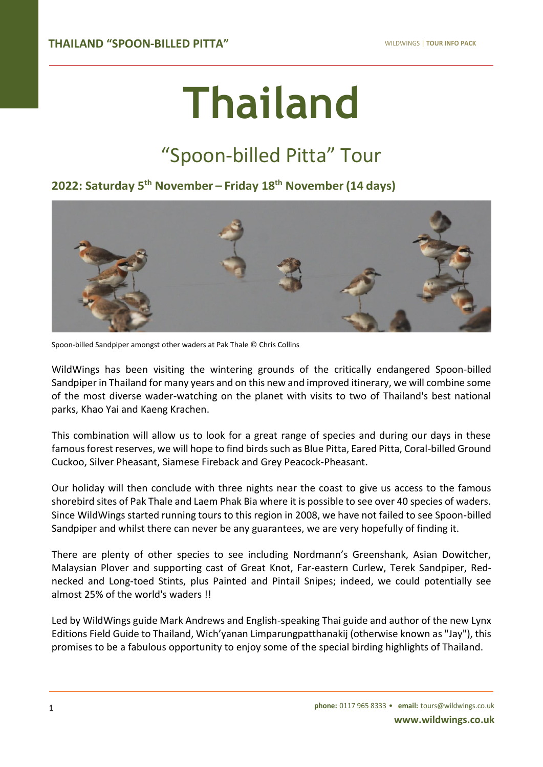# **Thailand**

# "Spoon-billed Pitta" Tour

# **2022: Saturday 5 th November – Friday 18th November(14 days)**



Spoon-billed Sandpiper amongst other waders at Pak Thale © Chris Collins

WildWings has been visiting the wintering grounds of the critically endangered Spoon-billed Sandpiper in Thailand for many years and on this new and improved itinerary, we will combine some of the most diverse wader-watching on the planet with visits to two of Thailand's best national parks, Khao Yai and Kaeng Krachen.

This combination will allow us to look for a great range of species and during our days in these famous forest reserves, we will hope to find birds such as Blue Pitta, Eared Pitta, Coral-billed Ground Cuckoo, Silver Pheasant, Siamese Fireback and Grey Peacock-Pheasant.

Our holiday will then conclude with three nights near the coast to give us access to the famous shorebird sites of Pak Thale and Laem Phak Bia where it is possible to see over 40 species of waders. Since WildWings started running tours to this region in 2008, we have not failed to see Spoon-billed Sandpiper and whilst there can never be any guarantees, we are very hopefully of finding it.

There are plenty of other species to see including Nordmann's Greenshank, Asian Dowitcher, Malaysian Plover and supporting cast of Great Knot, Far-eastern Curlew, Terek Sandpiper, Rednecked and Long-toed Stints, plus Painted and Pintail Snipes; indeed, we could potentially see almost 25% of the world's waders !!

Led by WildWings guide Mark Andrews and English-speaking Thai guide and author of the new Lynx Editions Field Guide to Thailand, Wich'yanan Limparungpatthanakij (otherwise known as "Jay"), this promises to be a fabulous opportunity to enjoy some of the special birding highlights of Thailand.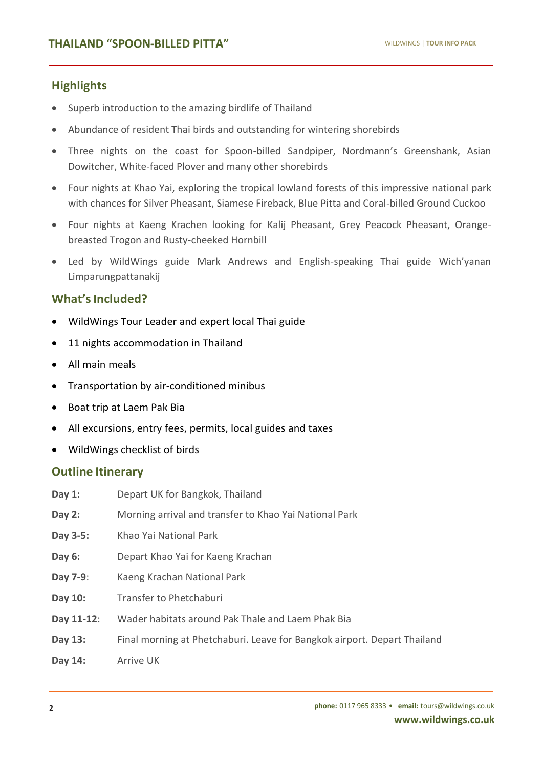## **Highlights**

**TOUR**

- Superb introduction to the amazing birdlife of Thailand
- Abundance of resident Thai birds and outstanding for wintering shorebirds
- Three nights on the coast for Spoon-billed Sandpiper, Nordmann's Greenshank, Asian Dowitcher, White-faced Plover and many other shorebirds
- Four nights at Khao Yai, exploring the tropical lowland forests of this impressive national park with chances for Silver Pheasant, Siamese Fireback, Blue Pitta and Coral-billed Ground Cuckoo
- Four nights at Kaeng Krachen looking for Kalij Pheasant, Grey Peacock Pheasant, Orangebreasted Trogon and Rusty-cheeked Hornbill
- Led by WildWings guide Mark Andrews and English-speaking Thai guide Wich'yanan Limparungpattanakij

## **What'sIncluded?**

- WildWings Tour Leader and expert local Thai guide
- 11 nights accommodation in Thailand
- All main meals
- Transportation by air-conditioned minibus
- Boat trip at Laem Pak Bia
- All excursions, entry fees, permits, local guides and taxes
- WildWings checklist of birds

#### **Outline Itinerary**

- **Day 1:** Depart UK for Bangkok, Thailand
- **Day 2:** Morning arrival and transfer to Khao Yai National Park
- **Day 3-5:** Khao Yai National Park
- **Day 6:** Depart Khao Yai for Kaeng Krachan
- **Day 7-9**: Kaeng Krachan National Park
- **Day 10:** Transfer to Phetchaburi
- **Day 11-12**: Wader habitats around Pak Thale and Laem Phak Bia
- **Day 13:** Final morning at Phetchaburi. Leave for Bangkok airport. Depart Thailand
- **Day 14:** Arrive UK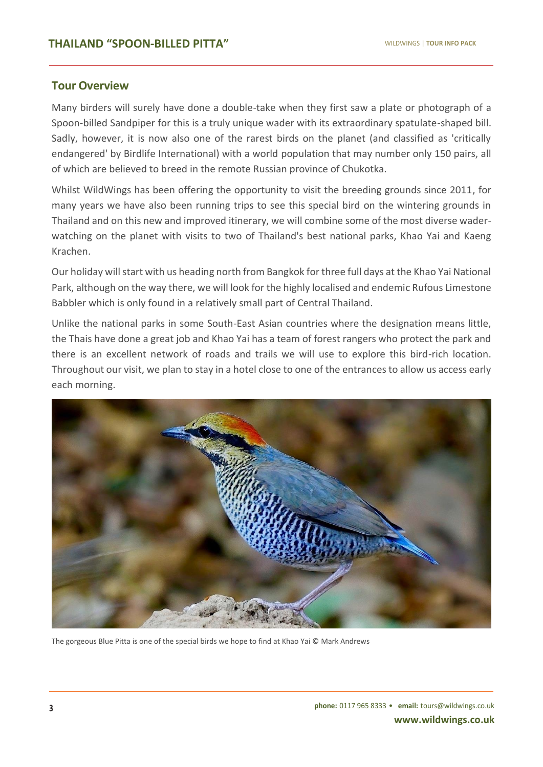#### **Tour Overview**

**TOUR**

Many birders will surely have done a double-take when they first saw a plate or photograph of a Spoon-billed Sandpiper for this is a truly unique wader with its extraordinary spatulate-shaped bill. Sadly, however, it is now also one of the rarest birds on the planet (and classified as 'critically endangered' by Birdlife International) with a world population that may number only 150 pairs, all of which are believed to breed in the remote Russian province of Chukotka.

Whilst WildWings has been offering the opportunity to visit the breeding grounds since 2011, for many years we have also been running trips to see this special bird on the wintering grounds in Thailand and on this new and improved itinerary, we will combine some of the most diverse waderwatching on the planet with visits to two of Thailand's best national parks, Khao Yai and Kaeng Krachen.

Our holiday will start with us heading north from Bangkok for three full days at the Khao Yai National Park, although on the way there, we will look for the highly localised and endemic Rufous Limestone Babbler which is only found in a relatively small part of Central Thailand.

Unlike the national parks in some South-East Asian countries where the designation means little, the Thais have done a great job and Khao Yai has a team of forest rangers who protect the park and there is an excellent network of roads and trails we will use to explore this bird-rich location. Throughout our visit, we plan to stay in a hotel close to one of the entrances to allow us access early each morning.



The gorgeous Blue Pitta is one of the special birds we hope to find at Khao Yai © Mark Andrews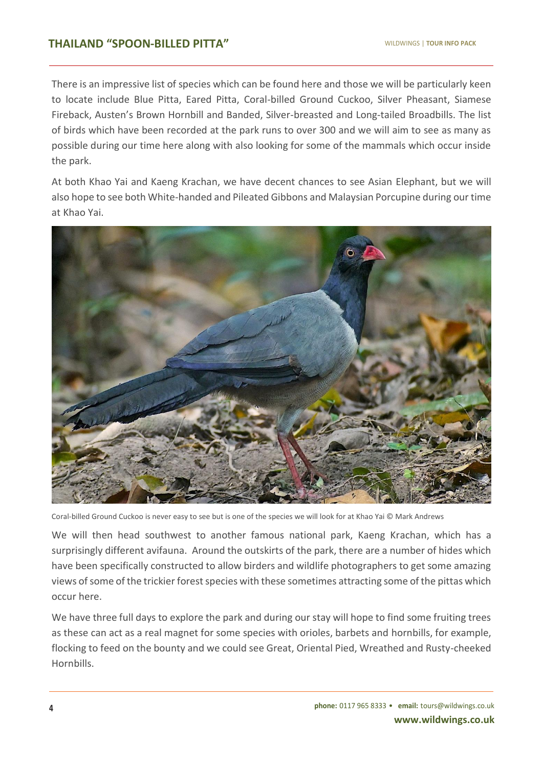There is an impressive list of species which can be found here and those we will be particularly keen to locate include Blue Pitta, Eared Pitta, Coral-billed Ground Cuckoo, Silver Pheasant, Siamese Fireback, Austen's Brown Hornbill and Banded, Silver-breasted and Long-tailed Broadbills. The list of birds which have been recorded at the park runs to over 300 and we will aim to see as many as possible during our time here along with also looking for some of the mammals which occur inside the park.

At both Khao Yai and Kaeng Krachan, we have decent chances to see Asian Elephant, but we will also hope to see both White-handed and Pileated Gibbons and Malaysian Porcupine during our time at Khao Yai.



Coral-billed Ground Cuckoo is never easy to see but is one of the species we will look for at Khao Yai © Mark Andrews

We will then head southwest to another famous national park, Kaeng Krachan, which has a surprisingly different avifauna. Around the outskirts of the park, there are a number of hides which have been specifically constructed to allow birders and wildlife photographers to get some amazing views of some of the trickier forest species with these sometimes attracting some of the pittas which occur here.

We have three full days to explore the park and during our stay will hope to find some fruiting trees as these can act as a real magnet for some species with orioles, barbets and hornbills, for example, flocking to feed on the bounty and we could see Great, Oriental Pied, Wreathed and Rusty-cheeked Hornbills.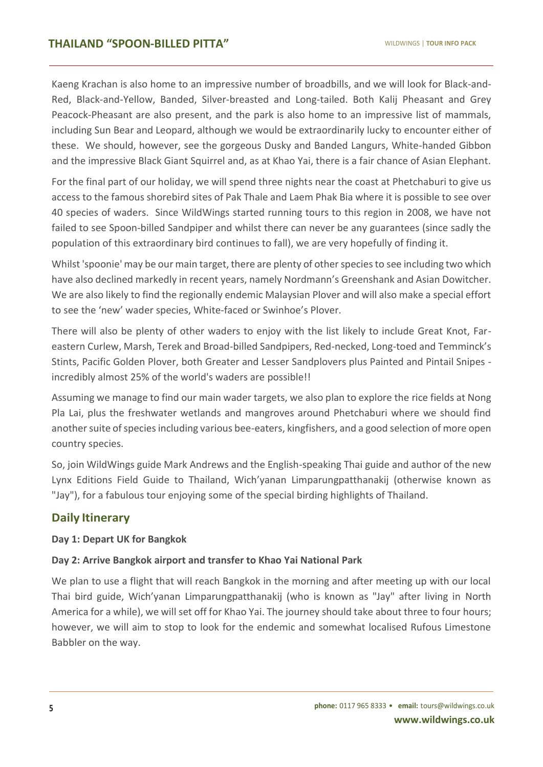Kaeng Krachan is also home to an impressive number of broadbills, and we will look for Black-and-Red, Black-and-Yellow, Banded, Silver-breasted and Long-tailed. Both Kalij Pheasant and Grey Peacock-Pheasant are also present, and the park is also home to an impressive list of mammals, including Sun Bear and Leopard, although we would be extraordinarily lucky to encounter either of these. We should, however, see the gorgeous Dusky and Banded Langurs, White-handed Gibbon and the impressive Black Giant Squirrel and, as at Khao Yai, there is a fair chance of Asian Elephant.

For the final part of our holiday, we will spend three nights near the coast at Phetchaburi to give us access to the famous shorebird sites of Pak Thale and Laem Phak Bia where it is possible to see over 40 species of waders. Since WildWings started running tours to this region in 2008, we have not failed to see Spoon-billed Sandpiper and whilst there can never be any guarantees (since sadly the population of this extraordinary bird continues to fall), we are very hopefully of finding it.

Whilst 'spoonie' may be our main target, there are plenty of other species to see including two which have also declined markedly in recent years, namely Nordmann's Greenshank and Asian Dowitcher. We are also likely to find the regionally endemic Malaysian Plover and will also make a special effort to see the 'new' wader species, White-faced or Swinhoe's Plover.

There will also be plenty of other waders to enjoy with the list likely to include Great Knot, Fareastern Curlew, Marsh, Terek and Broad-billed Sandpipers, Red-necked, Long-toed and Temminck's Stints, Pacific Golden Plover, both Greater and Lesser Sandplovers plus Painted and Pintail Snipes incredibly almost 25% of the world's waders are possible!!

Assuming we manage to find our main wader targets, we also plan to explore the rice fields at Nong Pla Lai, plus the freshwater wetlands and mangroves around Phetchaburi where we should find another suite of species including various bee-eaters, kingfishers, and a good selection of more open country species.

So, join WildWings guide Mark Andrews and the English-speaking Thai guide and author of the new Lynx Editions Field Guide to Thailand, Wich'yanan Limparungpatthanakij (otherwise known as "Jay"), for a fabulous tour enjoying some of the special birding highlights of Thailand.

# **Daily Itinerary**

#### **Day 1: Depart UK for Bangkok**

#### **Day 2: Arrive Bangkok airport and transfer to Khao Yai National Park**

We plan to use a flight that will reach Bangkok in the morning and after meeting up with our local Thai bird guide, Wich'yanan Limparungpatthanakij (who is known as "Jay" after living in North America for a while), we will set off for Khao Yai. The journey should take about three to four hours; however, we will aim to stop to look for the endemic and somewhat localised Rufous Limestone Babbler on the way.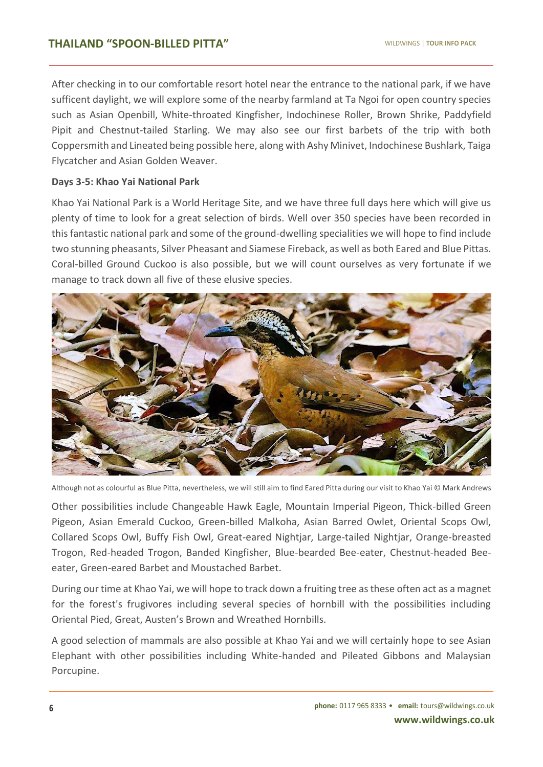After checking in to our comfortable resort hotel near the entrance to the national park, if we have sufficent daylight, we will explore some of the nearby farmland at Ta Ngoi for open country species such as Asian Openbill, White-throated Kingfisher, Indochinese Roller, Brown Shrike, Paddyfield Pipit and Chestnut-tailed Starling. We may also see our first barbets of the trip with both Coppersmith and Lineated being possible here, along with Ashy Minivet, Indochinese Bushlark, Taiga Flycatcher and Asian Golden Weaver.

#### **Days 3-5: Khao Yai National Park**

Khao Yai National Park is a World Heritage Site, and we have three full days here which will give us plenty of time to look for a great selection of birds. Well over 350 species have been recorded in this fantastic national park and some of the ground-dwelling specialities we will hope to find include two stunning pheasants, Silver Pheasant and Siamese Fireback, as well as both Eared and Blue Pittas. Coral-billed Ground Cuckoo is also possible, but we will count ourselves as very fortunate if we manage to track down all five of these elusive species.



Although not as colourful as Blue Pitta, nevertheless, we will still aim to find Eared Pitta during our visit to Khao Yai © Mark Andrews

Other possibilities include Changeable Hawk Eagle, Mountain Imperial Pigeon, Thick-billed Green Pigeon, Asian Emerald Cuckoo, Green-billed Malkoha, Asian Barred Owlet, Oriental Scops Owl, Collared Scops Owl, Buffy Fish Owl, Great-eared Nightjar, Large-tailed Nightjar, Orange-breasted Trogon, Red-headed Trogon, Banded Kingfisher, Blue-bearded Bee-eater, Chestnut-headed Beeeater, Green-eared Barbet and Moustached Barbet.

During our time at Khao Yai, we will hope to track down a fruiting tree as these often act as a magnet for the forest's frugivores including several species of hornbill with the possibilities including Oriental Pied, Great, Austen's Brown and Wreathed Hornbills.

A good selection of mammals are also possible at Khao Yai and we will certainly hope to see Asian Elephant with other possibilities including White-handed and Pileated Gibbons and Malaysian Porcupine.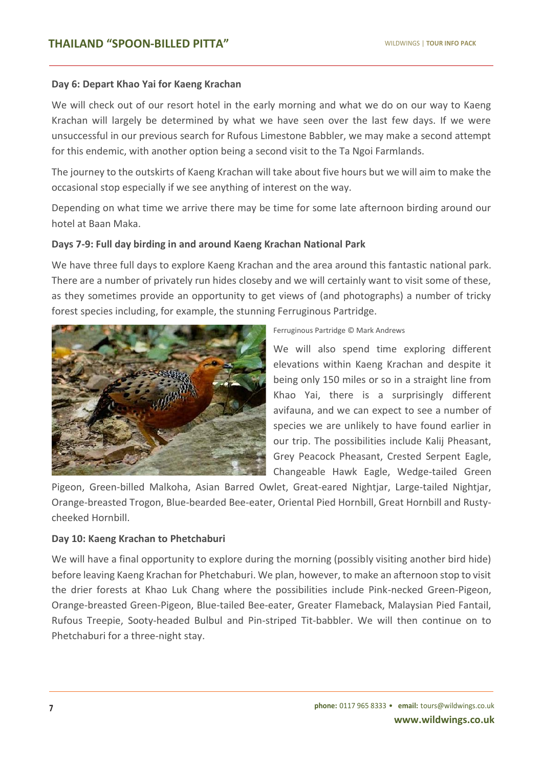#### **Day 6: Depart Khao Yai for Kaeng Krachan**

We will check out of our resort hotel in the early morning and what we do on our way to Kaeng Krachan will largely be determined by what we have seen over the last few days. If we were unsuccessful in our previous search for Rufous Limestone Babbler, we may make a second attempt for this endemic, with another option being a second visit to the Ta Ngoi Farmlands.

The journey to the outskirts of Kaeng Krachan will take about five hours but we will aim to make the occasional stop especially if we see anything of interest on the way.

Depending on what time we arrive there may be time for some late afternoon birding around our hotel at Baan Maka.

#### **Days 7-9: Full day birding in and around Kaeng Krachan National Park**

We have three full days to explore Kaeng Krachan and the area around this fantastic national park. There are a number of privately run hides closeby and we will certainly want to visit some of these, as they sometimes provide an opportunity to get views of (and photographs) a number of tricky forest species including, for example, the stunning Ferruginous Partridge.



Ferruginous Partridge © Mark Andrews

We will also spend time exploring different elevations within Kaeng Krachan and despite it being only 150 miles or so in a straight line from Khao Yai, there is a surprisingly different avifauna, and we can expect to see a number of species we are unlikely to have found earlier in our trip. The possibilities include Kalij Pheasant, Grey Peacock Pheasant, Crested Serpent Eagle, Changeable Hawk Eagle, Wedge-tailed Green

Pigeon, Green-billed Malkoha, Asian Barred Owlet, Great-eared Nightjar, Large-tailed Nightjar, Orange-breasted Trogon, Blue-bearded Bee-eater, Oriental Pied Hornbill, Great Hornbill and Rustycheeked Hornbill.

#### **Day 10: Kaeng Krachan to Phetchaburi**

We will have a final opportunity to explore during the morning (possibly visiting another bird hide) before leaving Kaeng Krachan for Phetchaburi. We plan, however, to make an afternoon stop to visit the drier forests at Khao Luk Chang where the possibilities include Pink-necked Green-Pigeon, Orange-breasted Green-Pigeon, Blue-tailed Bee-eater, Greater Flameback, Malaysian Pied Fantail, Rufous Treepie, Sooty-headed Bulbul and Pin-striped Tit-babbler. We will then continue on to Phetchaburi for a three-night stay.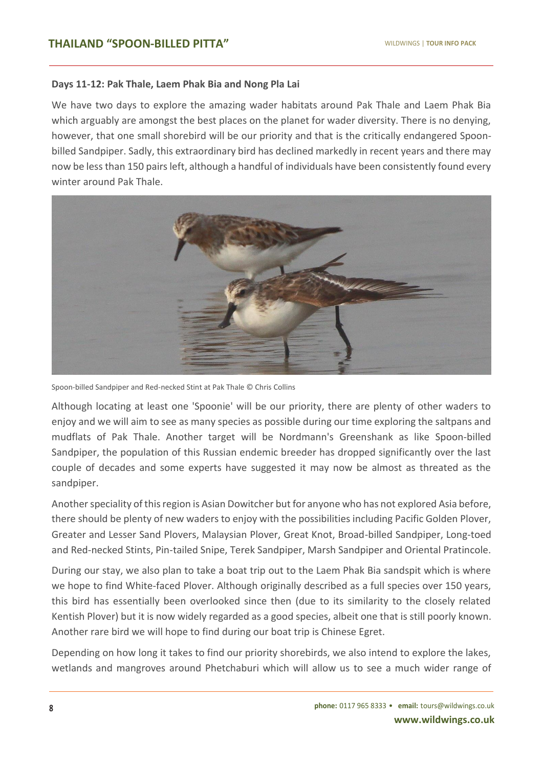#### **Days 11-12: Pak Thale, Laem Phak Bia and Nong Pla Lai**

We have two days to explore the amazing wader habitats around Pak Thale and Laem Phak Bia which arguably are amongst the best places on the planet for wader diversity. There is no denying, however, that one small shorebird will be our priority and that is the critically endangered Spoonbilled Sandpiper. Sadly, this extraordinary bird has declined markedly in recent years and there may now be less than 150 pairs left, although a handful of individuals have been consistently found every winter around Pak Thale.



Spoon-billed Sandpiper and Red-necked Stint at Pak Thale © Chris Collins

Although locating at least one 'Spoonie' will be our priority, there are plenty of other waders to enjoy and we will aim to see as many species as possible during our time exploring the saltpans and mudflats of Pak Thale. Another target will be Nordmann's Greenshank as like Spoon-billed Sandpiper, the population of this Russian endemic breeder has dropped significantly over the last couple of decades and some experts have suggested it may now be almost as threated as the sandpiper.

Another speciality of this region is Asian Dowitcher but for anyone who has not explored Asia before, there should be plenty of new waders to enjoy with the possibilities including Pacific Golden Plover, Greater and Lesser Sand Plovers, Malaysian Plover, Great Knot, Broad-billed Sandpiper, Long-toed and Red-necked Stints, Pin-tailed Snipe, Terek Sandpiper, Marsh Sandpiper and Oriental Pratincole.

During our stay, we also plan to take a boat trip out to the Laem Phak Bia sandspit which is where we hope to find White-faced Plover. Although originally described as a full species over 150 years, this bird has essentially been overlooked since then (due to its similarity to the closely related Kentish Plover) but it is now widely regarded as a good species, albeit one that is still poorly known. Another rare bird we will hope to find during our boat trip is Chinese Egret.

Depending on how long it takes to find our priority shorebirds, we also intend to explore the lakes, wetlands and mangroves around Phetchaburi which will allow us to see a much wider range of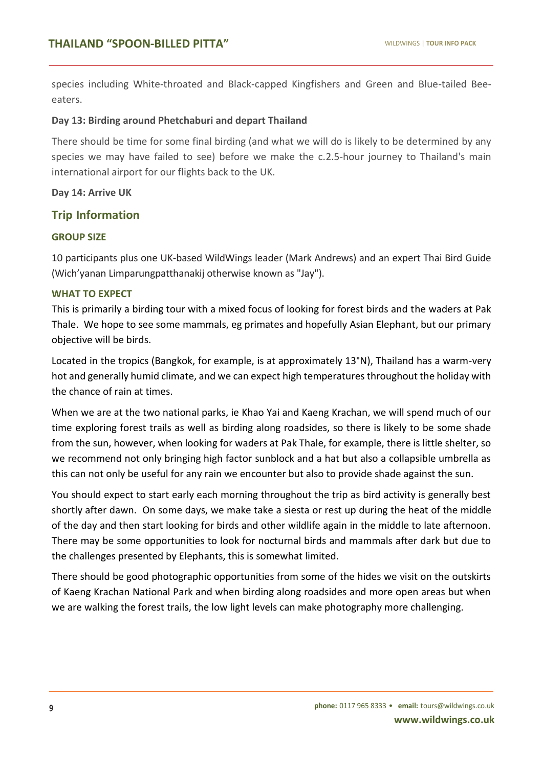species including White-throated and Black-capped Kingfishers and Green and Blue-tailed Beeeaters.

#### **Day 13: Birding around Phetchaburi and depart Thailand**

There should be time for some final birding (and what we will do is likely to be determined by any species we may have failed to see) before we make the c.2.5-hour journey to Thailand's main international airport for our flights back to the UK.

#### **Day 14: Arrive UK**

#### **Trip Information**

#### **GROUP SIZE**

**TOUR**

10 participants plus one UK-based WildWings leader (Mark Andrews) and an expert Thai Bird Guide (Wich'yanan Limparungpatthanakij otherwise known as "Jay").

#### **WHAT TO EXPECT**

This is primarily a birding tour with a mixed focus of looking for forest birds and the waders at Pak Thale. We hope to see some mammals, eg primates and hopefully Asian Elephant, but our primary objective will be birds.

Located in the tropics (Bangkok, for example, is at approximately 13°N), Thailand has a warm-very hot and generally humid climate, and we can expect high temperatures throughout the holiday with the chance of rain at times.

When we are at the two national parks, ie Khao Yai and Kaeng Krachan, we will spend much of our time exploring forest trails as well as birding along roadsides, so there is likely to be some shade from the sun, however, when looking for waders at Pak Thale, for example, there is little shelter, so we recommend not only bringing high factor sunblock and a hat but also a collapsible umbrella as this can not only be useful for any rain we encounter but also to provide shade against the sun.

You should expect to start early each morning throughout the trip as bird activity is generally best shortly after dawn. On some days, we make take a siesta or rest up during the heat of the middle of the day and then start looking for birds and other wildlife again in the middle to late afternoon. There may be some opportunities to look for nocturnal birds and mammals after dark but due to the challenges presented by Elephants, this is somewhat limited.

There should be good photographic opportunities from some of the hides we visit on the outskirts of Kaeng Krachan National Park and when birding along roadsides and more open areas but when we are walking the forest trails, the low light levels can make photography more challenging.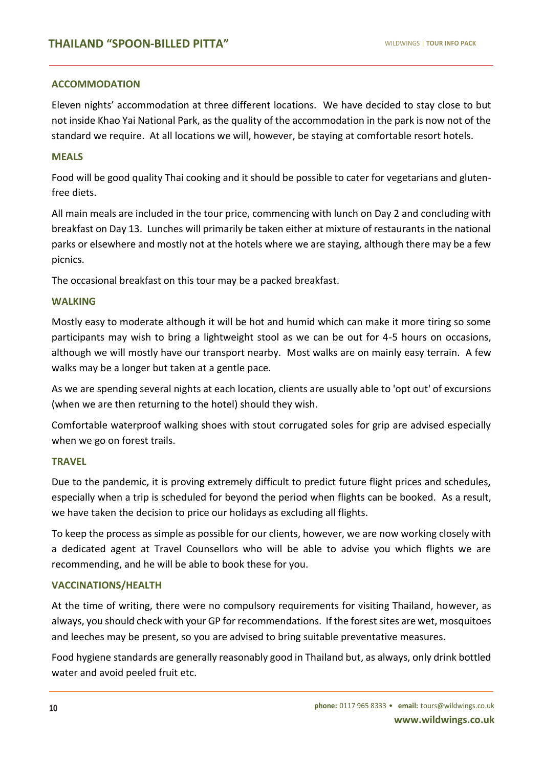#### **ACCOMMODATION**

Eleven nights' accommodation at three different locations. We have decided to stay close to but not inside Khao Yai National Park, as the quality of the accommodation in the park is now not of the standard we require. At all locations we will, however, be staying at comfortable resort hotels.

#### **MEALS**

**TOUR**

Food will be good quality Thai cooking and it should be possible to cater for vegetarians and glutenfree diets.

All main meals are included in the tour price, commencing with lunch on Day 2 and concluding with breakfast on Day 13. Lunches will primarily be taken either at mixture of restaurants in the national parks or elsewhere and mostly not at the hotels where we are staying, although there may be a few picnics.

The occasional breakfast on this tour may be a packed breakfast.

#### **WALKING**

Mostly easy to moderate although it will be hot and humid which can make it more tiring so some participants may wish to bring a lightweight stool as we can be out for 4-5 hours on occasions, although we will mostly have our transport nearby. Most walks are on mainly easy terrain. A few walks may be a longer but taken at a gentle pace.

As we are spending several nights at each location, clients are usually able to 'opt out' of excursions (when we are then returning to the hotel) should they wish.

Comfortable waterproof walking shoes with stout corrugated soles for grip are advised especially when we go on forest trails.

#### **TRAVEL**

Due to the pandemic, it is proving extremely difficult to predict future flight prices and schedules, especially when a trip is scheduled for beyond the period when flights can be booked. As a result, we have taken the decision to price our holidays as excluding all flights.

To keep the process as simple as possible for our clients, however, we are now working closely with a dedicated agent at Travel Counsellors who will be able to advise you which flights we are recommending, and he will be able to book these for you.

#### **VACCINATIONS/HEALTH**

At the time of writing, there were no compulsory requirements for visiting Thailand, however, as always, you should check with your GP for recommendations. If the forest sites are wet, mosquitoes and leeches may be present, so you are advised to bring suitable preventative measures.

Food hygiene standards are generally reasonably good in Thailand but, as always, only drink bottled water and avoid peeled fruit etc.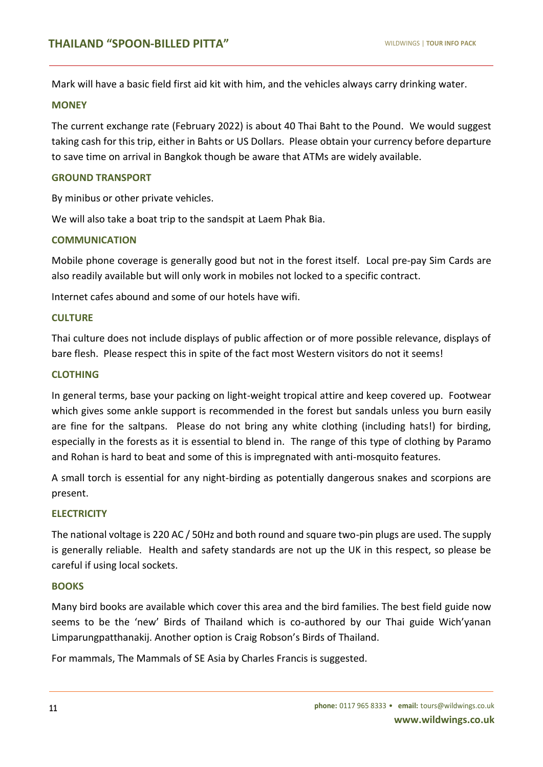Mark will have a basic field first aid kit with him, and the vehicles always carry drinking water.

#### **MONEY**

**TOUR**

The current exchange rate (February 2022) is about 40 Thai Baht to the Pound. We would suggest taking cash for this trip, either in Bahts or US Dollars. Please obtain your currency before departure to save time on arrival in Bangkok though be aware that ATMs are widely available.

#### **GROUND TRANSPORT**

By minibus or other private vehicles.

We will also take a boat trip to the sandspit at Laem Phak Bia.

#### **COMMUNICATION**

Mobile phone coverage is generally good but not in the forest itself. Local pre-pay Sim Cards are also readily available but will only work in mobiles not locked to a specific contract.

Internet cafes abound and some of our hotels have wifi.

#### **CULTURE**

Thai culture does not include displays of public affection or of more possible relevance, displays of bare flesh. Please respect this in spite of the fact most Western visitors do not it seems!

#### **CLOTHING**

In general terms, base your packing on light-weight tropical attire and keep covered up. Footwear which gives some ankle support is recommended in the forest but sandals unless you burn easily are fine for the saltpans. Please do not bring any white clothing (including hats!) for birding, especially in the forests as it is essential to blend in. The range of this type of clothing by Paramo and Rohan is hard to beat and some of this is impregnated with anti-mosquito features.

A small torch is essential for any night-birding as potentially dangerous snakes and scorpions are present.

#### **ELECTRICITY**

The national voltage is 220 AC / 50Hz and both round and square two-pin plugs are used. The supply is generally reliable. Health and safety standards are not up the UK in this respect, so please be careful if using local sockets.

#### **BOOKS**

Many bird books are available which cover this area and the bird families. The best field guide now seems to be the 'new' Birds of Thailand which is co-authored by our Thai guide Wich'yanan Limparungpatthanakij. Another option is Craig Robson's Birds of Thailand.

For mammals, The Mammals of SE Asia by Charles Francis is suggested.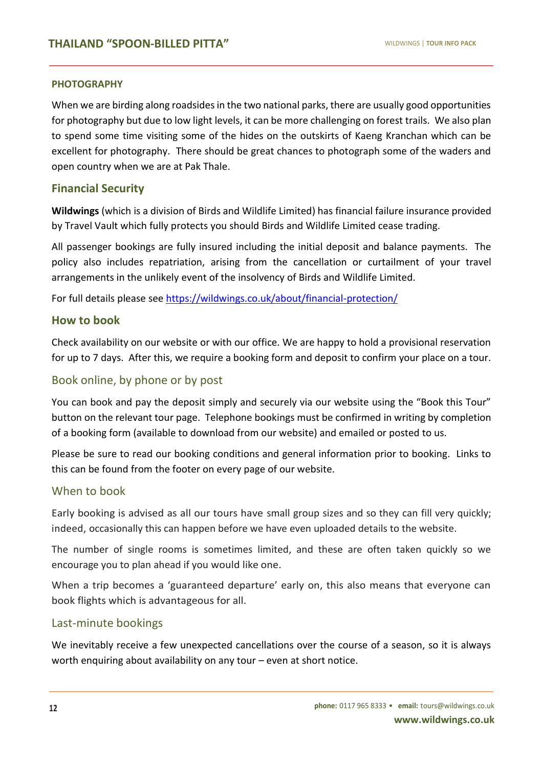#### **PHOTOGRAPHY**

**TOUR**

When we are birding along roadsides in the two national parks, there are usually good opportunities for photography but due to low light levels, it can be more challenging on forest trails. We also plan to spend some time visiting some of the hides on the outskirts of Kaeng Kranchan which can be excellent for photography. There should be great chances to photograph some of the waders and open country when we are at Pak Thale.

#### **Financial Security**

**Wildwings** (which is a division of Birds and Wildlife Limited) has financial failure insurance provided by Travel Vault which fully protects you should Birds and Wildlife Limited cease trading.

All passenger bookings are fully insured including the initial deposit and balance payments. The policy also includes repatriation, arising from the cancellation or curtailment of your travel arrangements in the unlikely event of the insolvency of Birds and Wildlife Limited.

For full details please see <https://wildwings.co.uk/about/financial-protection/>

#### **How to book**

Check availability on our website or with our office. We are happy to hold a provisional reservation for up to 7 days. After this, we require a booking form and deposit to confirm your place on a tour.

#### Book online, by phone or by post

You can book and pay the deposit simply and securely via our website using the "Book this Tour" button on the relevant tour page. Telephone bookings must be confirmed in writing by completion of a booking form (available to download from our website) and emailed or posted to us.

Please be sure to read our booking conditions and general information prior to booking. Links to this can be found from the footer on every page of our website.

#### When to book

Early booking is advised as all our tours have small group sizes and so they can fill very quickly; indeed, occasionally this can happen before we have even uploaded details to the website.

The number of single rooms is sometimes limited, and these are often taken quickly so we encourage you to plan ahead if you would like one.

When a trip becomes a 'guaranteed departure' early on, this also means that everyone can book flights which is advantageous for all.

#### Last-minute bookings

We inevitably receive a few unexpected cancellations over the course of a season, so it is always worth enquiring about availability on any tour – even at short notice.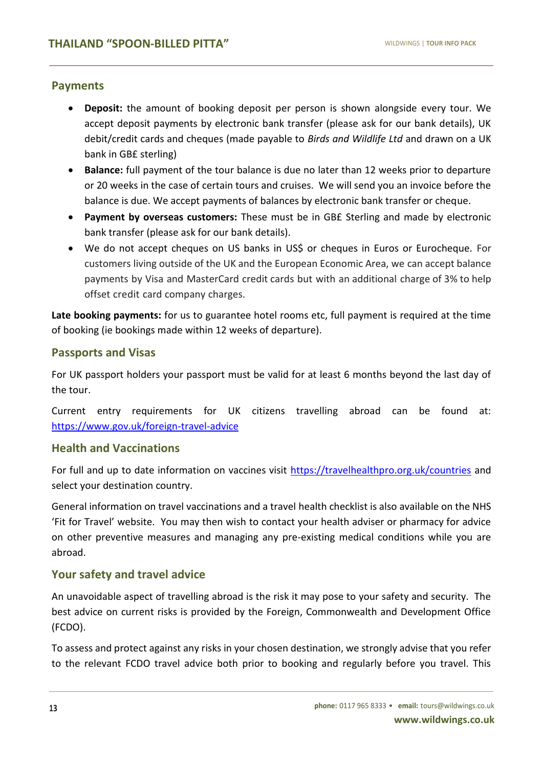#### **Payments**

**TOUR**

- **Deposit:** the amount of booking deposit per person is shown alongside every tour. We accept deposit payments by electronic bank transfer (please ask for our bank details), UK debit/credit cards and cheques (made payable to *Birds and Wildlife Ltd* and drawn on a UK bank in GB£ sterling)
- **Balance:** full payment of the tour balance is due no later than 12 weeks prior to departure or 20 weeks in the case of certain tours and cruises. We will send you an invoice before the balance is due. We accept payments of balances by electronic bank transfer or cheque.
- **Payment by overseas customers:** These must be in GB£ Sterling and made by electronic bank transfer (please ask for our bank details).
- We do not accept cheques on US banks in US\$ or cheques in Euros or Eurocheque. For customers living outside of the UK and the European Economic Area, we can accept balance payments by Visa and MasterCard credit cards but with an additional charge of 3% to help offset credit card company charges.

**Late booking payments:** for us to guarantee hotel rooms etc, full payment is required at the time of booking (ie bookings made within 12 weeks of departure).

#### **Passports and Visas**

For UK passport holders your passport must be valid for at least 6 months beyond the last day of the tour.

Current entry requirements for UK citizens travelling abroad can be found at: <https://www.gov.uk/foreign-travel-advice>

#### **Health and Vaccinations**

For full and up to date information on vaccines visit<https://travelhealthpro.org.uk/countries> and select your destination country.

General information on travel vaccinations and a travel health checklist is also available on the NHS 'Fit for Travel' website. You may then wish to contact your health adviser or pharmacy for advice on other preventive measures and managing any pre-existing medical conditions while you are abroad.

#### **Your safety and travel advice**

An unavoidable aspect of travelling abroad is the risk it may pose to your safety and security. The best advice on current risks is provided by the Foreign, Commonwealth and Development Office (FCDO).

To assess and protect against any risks in your chosen destination, we strongly advise that you refer to the relevant FCDO travel advice both prior to booking and regularly before you travel. This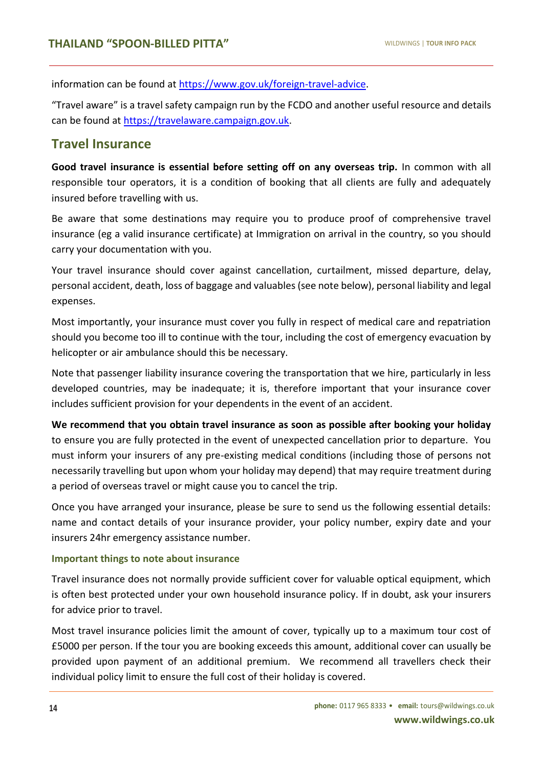information can be found at [https://www.gov.uk/foreign-travel-advice.](https://www.gov.uk/foreign-travel-advice)

"Travel aware" is a travel safety campaign run by the FCDO and another useful resource and details can be found at [https://travelaware.campaign.gov.uk.](https://travelaware.campaign.gov.uk/)

# **Travel Insurance**

**TOUR**

**Good travel insurance is essential before setting off on any overseas trip.** In common with all responsible tour operators, it is a condition of booking that all clients are fully and adequately insured before travelling with us.

Be aware that some destinations may require you to produce proof of comprehensive travel insurance (eg a valid insurance certificate) at Immigration on arrival in the country, so you should carry your documentation with you.

Your travel insurance should cover against cancellation, curtailment, missed departure, delay, personal accident, death, loss of baggage and valuables (see note below), personal liability and legal expenses.

Most importantly, your insurance must cover you fully in respect of medical care and repatriation should you become too ill to continue with the tour, including the cost of emergency evacuation by helicopter or air ambulance should this be necessary.

Note that passenger liability insurance covering the transportation that we hire, particularly in less developed countries, may be inadequate; it is, therefore important that your insurance cover includes sufficient provision for your dependents in the event of an accident.

**We recommend that you obtain travel insurance as soon as possible after booking your holiday** to ensure you are fully protected in the event of unexpected cancellation prior to departure. You must inform your insurers of any pre-existing medical conditions (including those of persons not necessarily travelling but upon whom your holiday may depend) that may require treatment during a period of overseas travel or might cause you to cancel the trip.

Once you have arranged your insurance, please be sure to send us the following essential details: name and contact details of your insurance provider, your policy number, expiry date and your insurers 24hr emergency assistance number.

#### **Important things to note about insurance**

Travel insurance does not normally provide sufficient cover for valuable optical equipment, which is often best protected under your own household insurance policy. If in doubt, ask your insurers for advice prior to travel.

Most travel insurance policies limit the amount of cover, typically up to a maximum tour cost of £5000 per person. If the tour you are booking exceeds this amount, additional cover can usually be provided upon payment of an additional premium. We recommend all travellers check their individual policy limit to ensure the full cost of their holiday is covered.